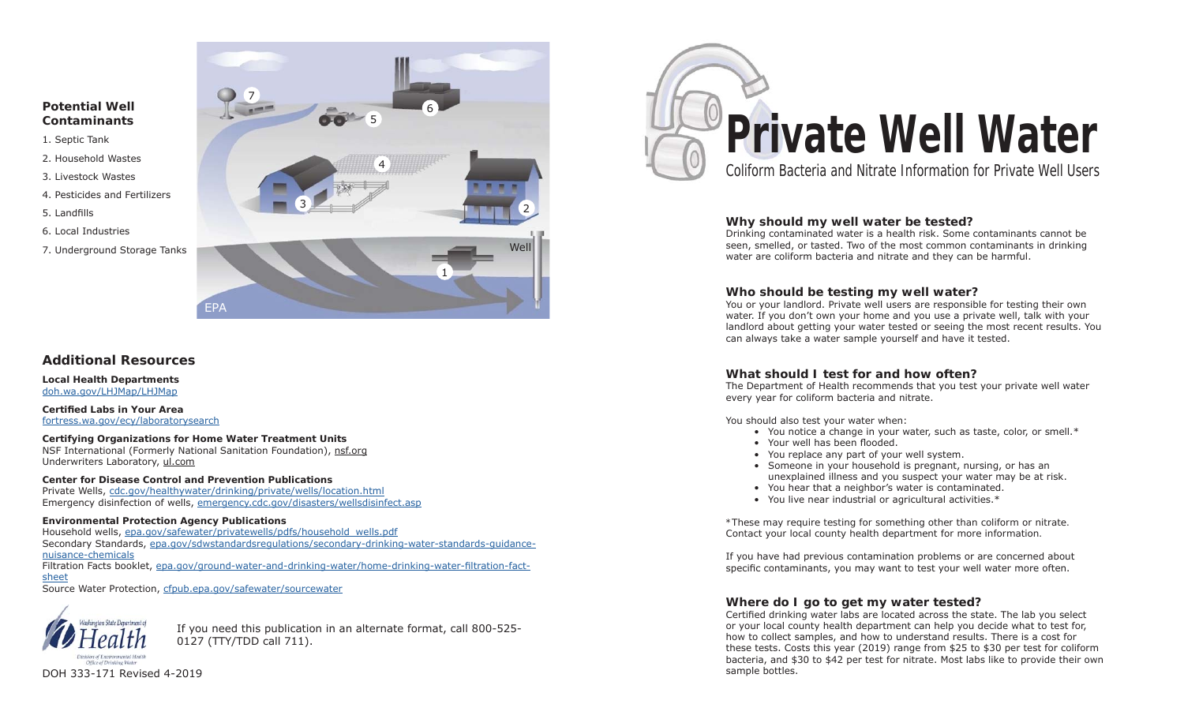### **Potential Well Contaminants**

- 1. Septic Tank
- 2. Household Wastes
- 3. Livestock Wastes
- 4. Pesticides and Fertilizers
- 5. Landfills
- 6. Local Industries
- 7. Underground Storage Tanks



# **Additional Resources**

**Local Health Departments** doh.wa.gov/LHJMap/LHJMap

**Certifi ed Labs in Your Area**fortress.wa.gov/ecy/laboratorysearch

**Certifying Organizations for Home Water Treatment Units** NSF International (Formerly National Sanitation Foundation), nsf.org Underwriters Laboratory, ul.com

# **Center for Disease Control and Prevention Publications**

Private Wells, cdc.gov/healthywater/drinking/private/wells/location.html Emergency disinfection of wells, emergency.cdc.gov/disasters/wellsdisinfect.asp

#### **Environmental Protection Agency Publications**

Household wells, epa.gov/safewater/privatewells/pdfs/household\_wells.pdf Secondary Standards, epa.gov/sdwstandardsregulations/secondary-drinking-water-standards-guidance-

### nuisance-chemicals

Filtration Facts booklet, epa.gov/ground-water-and-drinking-water/home-drinking-water-filtration-factsheet

Source Water Protection, cfpub.epa.gov/safewater/sourcewater



If you need this publication in an alternate format, call 800-525- 0127 (TTY/TDD call 711).



### **Why should my well water be tested?**

Drinking contaminated water is a health risk. Some contaminants cannot be seen, smelled, or tasted. Two of the most common contaminants in drinking water are coliform bacteria and nitrate and they can be harmful.

### **Who should be testing my well water?**

You or your landlord. Private well users are responsible for testing their own water. If you don't own your home and you use a private well, talk with your landlord about getting your water tested or seeing the most recent results. You can always take a water sample yourself and have it tested.

#### **What should I test for and how often?**

The Department of Health recommends that you test your private well water every year for coliform bacteria and nitrate.

You should also test your water when:

- You notice a change in your water, such as taste, color, or smell.\*
- Your well has been flooded.
- You replace any part of your well system.
- Someone in your household is pregnant, nursing, or has an unexplained illness and you suspect your water may be at risk.
- You hear that a neighbor's water is contaminated.
- You live near industrial or agricultural activities.\*

*\*These may require testing for something other than coliform or nitrate. Contact your local county health department for more information.*

If you have had previous contamination problems or are concerned about specific contaminants, you may want to test your well water more often.

#### **Where do I go to get my water tested?**

Certified drinking water labs are located across the state. The lab you select or your local county health department can help you decide what to test for, how to collect samples, and how to understand results. There is a cost for these tests. Costs this year (2019) range from \$25 to \$30 per test for coliform bacteria, and \$30 to \$42 per test for nitrate. Most labs like to provide their own sample bottles.

DOH 333-171 Revised 4-2019